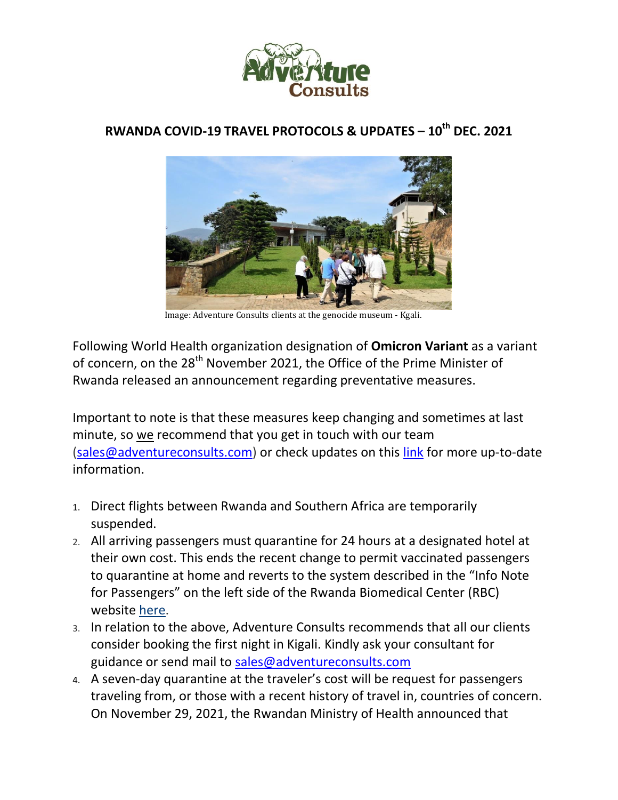

## **RWANDA COVID-19 TRAVEL PROTOCOLS & UPDATES – 10th DEC. 2021**



Image: Adventure Consults clients at the genocide museum - Kgali.

Following World Health organization designation of **Omicron Variant** as a variant of concern, on the 28<sup>th</sup> November 2021, the Office of the Prime Minister of Rwanda released an announcement regarding preventative measures.

Important to note is that these measures keep changing and sometimes at last minute, so we recommend that you get in touch with our team (sales@adventureconsults.com) or check updates on this link for more up-to-date information.

- 1. Direct flights between Rwanda and Southern Africa are temporarily suspended.
- 2. All arriving passengers must quarantine for 24 hours at a designated hotel at their own cost. This ends the recent change to permit vaccinated passengers to quarantine at home and reverts to the system described in the "Info Note for Passengers" on the left side of the Rwanda Biomedical Center (RBC) website here.
- 3. In relation to the above, Adventure Consults recommends that all our clients consider booking the first night in Kigali. Kindly ask your consultant for guidance or send mail to sales@adventureconsults.com
- 4. A seven-day quarantine at the traveler's cost will be request for passengers traveling from, or those with a recent history of travel in, countries of concern. On November 29, 2021, the Rwandan Ministry of Health announced that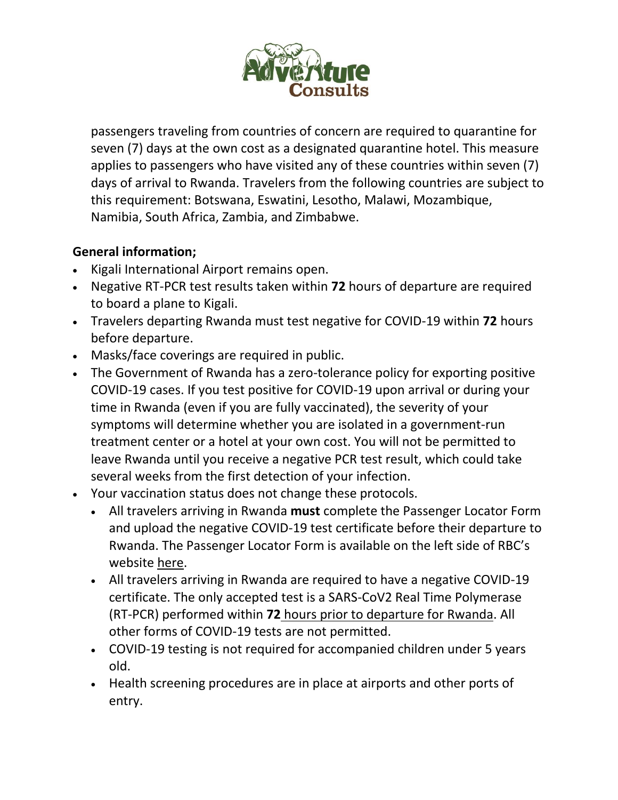

passengers traveling from countries of concern are required to quarantine for seven (7) days at the own cost as a designated quarantine hotel. This measure applies to passengers who have visited any of these countries within seven (7) days of arrival to Rwanda. Travelers from the following countries are subject to this requirement: Botswana, Eswatini, Lesotho, Malawi, Mozambique, Namibia, South Africa, Zambia, and Zimbabwe.

## **General information;**

- Kigali International Airport remains open.
- Negative RT-PCR test results taken within **72** hours of departure are required to board a plane to Kigali.
- Travelers departing Rwanda must test negative for COVID-19 within **72** hours before departure.
- Masks/face coverings are required in public.
- The Government of Rwanda has a zero-tolerance policy for exporting positive COVID-19 cases. If you test positive for COVID-19 upon arrival or during your time in Rwanda (even if you are fully vaccinated), the severity of your symptoms will determine whether you are isolated in a government-run treatment center or a hotel at your own cost. You will not be permitted to leave Rwanda until you receive a negative PCR test result, which could take several weeks from the first detection of your infection.
- Your vaccination status does not change these protocols.
	- All travelers arriving in Rwanda **must** complete the Passenger Locator Form and upload the negative COVID-19 test certificate before their departure to Rwanda. The Passenger Locator Form is available on the left side of RBC's website here.
	- All travelers arriving in Rwanda are required to have a negative COVID-19 certificate. The only accepted test is a SARS-CoV2 Real Time Polymerase (RT-PCR) performed within **72** hours prior to departure for Rwanda. All other forms of COVID-19 tests are not permitted.
	- COVID-19 testing is not required for accompanied children under 5 years old.
	- Health screening procedures are in place at airports and other ports of entry.